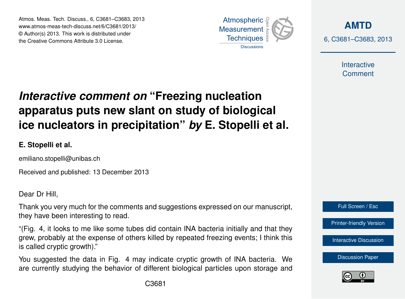Atmos. Meas. Tech. Discuss., 6, C3681–C3683, 2013 www.atmos-meas-tech-discuss.net/6/C3681/2013/ www.atmos-meas-tech-discuss.net/o/C3661/2013/<br>© Author(s) 2013. This work is distributed under the Creative Commons Attribute 3.0 License.



**[AMTD](http://www.atmos-meas-tech-discuss.net)** 6, C3681–C3683, 2013

> Interactive **Comment**

## **Interactive comment on "Freezing nucleation** ow clant on ctudy of hiologic ،<br>آ  $\ddot{\cdot}$ apparatus puts new slant on study of biological Earth System Open Access  $\overline{a}$ ice nucleators in precipitation" *by* E. Stopelli et al.

**E. Stopelli et al.**

emiliano.stopelli@unibas.ch

Received and published: 13 December 2013  $\frac{1}{2}$ 

Dear Dr Hill,

Thank you very much for the comments and suggestions expressed on our manuscript, they have been interesting to read. n<br>.. n<br>.

grew, probably at the expense of others killed by repeated freezing events; I think this<br>is as list smartic sworth)." م<br>ir ا<br>Pr "(Fig. 4, it looks to me like some tubes did contain INA bacteria initially and that they is called cryptic growth)."

You suggested the data in Fig. 4 may indicate cryptic growth of INA bacteria. We are currently studying the behavior of different biological particles upon storage and



[Printer-friendly Version](http://www.atmos-meas-tech-discuss.net/6/C3681/2013/amtd-6-C3681-2013-print.pdf)

[Interactive Discussion](http://www.atmos-meas-tech-discuss.net/6/9163/2013/amtd-6-9163-2013-discussion.html)

[Discussion Paper](http://www.atmos-meas-tech-discuss.net/6/9163/2013/amtd-6-9163-2013.pdf)



Ocean Science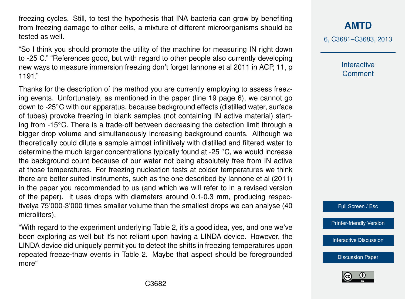freezing cycles. Still, to test the hypothesis that INA bacteria can grow by benefiting from freezing damage to other cells, a mixture of different microorganisms should be tested as well.

"So I think you should promote the utility of the machine for measuring IN right down to -25 C." "References good, but with regard to other people also currently developing new ways to measure immersion freezing don't forget Iannone et al 2011 in ACP, 11, p 1191."

Thanks for the description of the method you are currently employing to assess freezing events. Unfortunately, as mentioned in the paper (line 19 page 6), we cannot go down to -25◦C with our apparatus, because background effects (distilled water, surface of tubes) provoke freezing in blank samples (not containing IN active material) starting from -15◦C. There is a trade-off between decreasing the detection limit through a bigger drop volume and simultaneously increasing background counts. Although we theoretically could dilute a sample almost infinitively with distilled and filtered water to determine the much larger concentrations typically found at -25 ◦C, we would increase the background count because of our water not being absolutely free from IN active at those temperatures. For freezing nucleation tests at colder temperatures we think there are better suited instruments, such as the one described by Iannone et al (2011) in the paper you recommended to us (and which we will refer to in a revised version of the paper). It uses drops with diameters around 0.1-0.3 mm, producing respectivelya 75'000-3'000 times smaller volume than the smallest drops we can analyse (40 microliters).

"With regard to the experiment underlying Table 2, it's a good idea, yes, and one we've been exploring as well but it's not reliant upon having a LINDA device. However, the LINDA device did uniquely permit you to detect the shifts in freezing temperatures upon repeated freeze-thaw events in Table 2. Maybe that aspect should be foregrounded more"

## **[AMTD](http://www.atmos-meas-tech-discuss.net)**

6, C3681–C3683, 2013

**Interactive Comment** 

Full Screen / Esc

[Printer-friendly Version](http://www.atmos-meas-tech-discuss.net/6/C3681/2013/amtd-6-C3681-2013-print.pdf)

[Interactive Discussion](http://www.atmos-meas-tech-discuss.net/6/9163/2013/amtd-6-9163-2013-discussion.html)

[Discussion Paper](http://www.atmos-meas-tech-discuss.net/6/9163/2013/amtd-6-9163-2013.pdf)